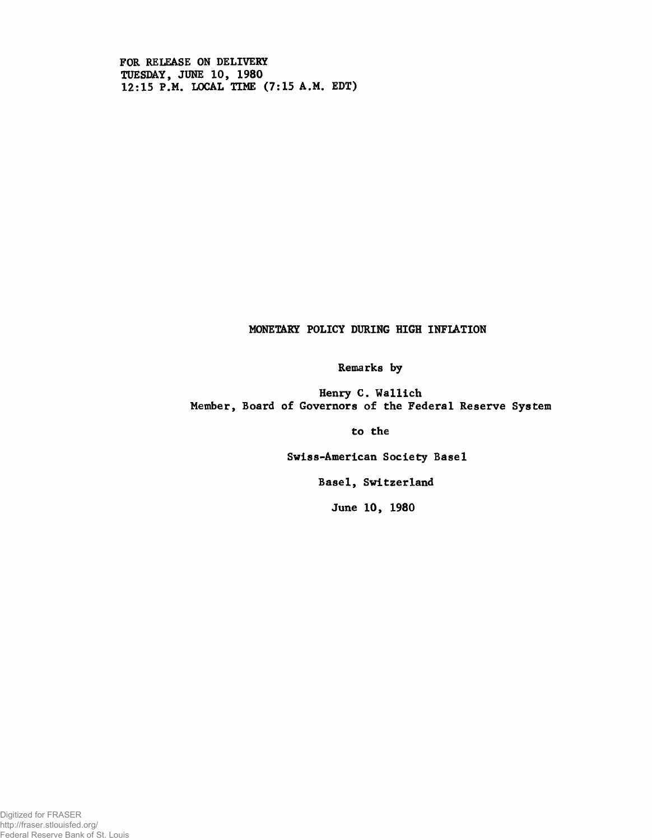FOR RELEASE ON DELIVERY TUESDAY, JUNE 10, 1980 12:15 P.M. LOCAL TIME (7:15 A.M. EDT)

# MONETARY POLICY DURING HIGH INFIATION

Remarks by

Henry C. Wallich Member, Board of Governors of the Federal Reserve System

to the

Swiss-American Society Basel

Basel, Switzerland

June 10, 1980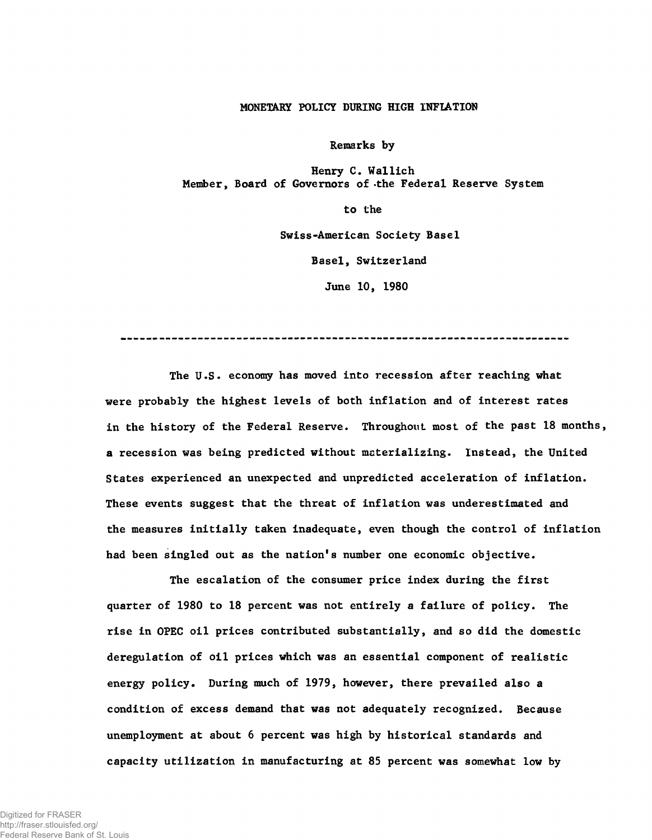## MONETARY POLICY DÜRING HIGH INFIATION

Remarks by

Henry C. Wallich Member, Board of Governors of -the Federal Reserve System

> to the Swiss-American Society Basel Basel, Switzerland

> > June 10, 1980

The U.S. economy has moved into recession after reaching what were probably the highest levels of both inflation and of interest rates in the history of the Federal Reserve. Throughout most of the past 18 months, a recession was being predicted without materializing. Instead, the United States experienced an unexpected and unpredicted acceleration of inflation. These events suggest that the threat of inflation was underestimated and the measures initially taken inadequate, even though the control of inflation had been singled out as the nation's number one economic objective.

The escalation of the consumer price index during the first quarter of 1980 to 18 percent was not entirely a failure of policy. The rise in OPEC oil prices contributed substantially, and so did the domestic deregulation of oil prices which was an essential component of realistic energy policy. During much of 1979, however, there prevailed also a condition of excess demand that was not adequately recognized. Because unemployment at about 6 percent was high by historical standards and capacity utilization in manufacturing at 85 percent was somewhat low by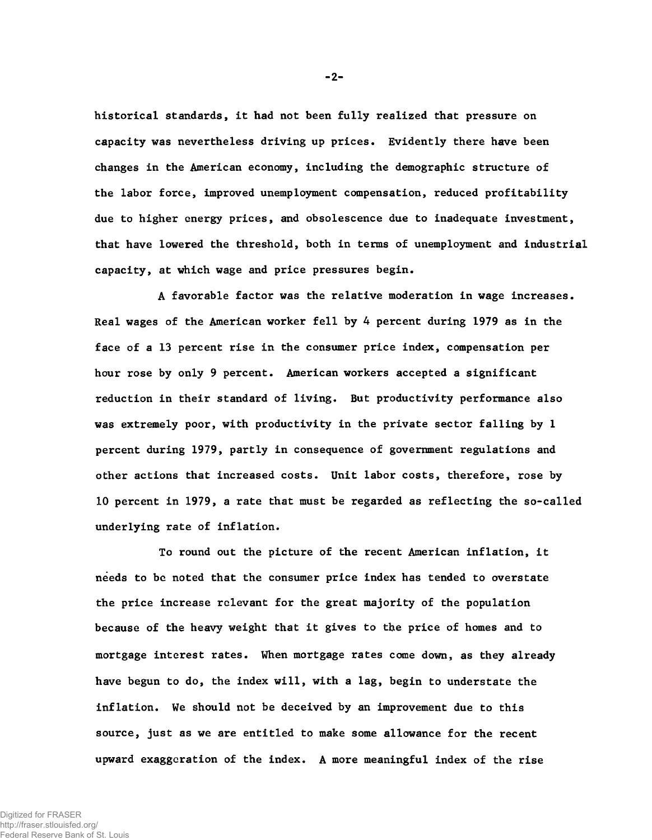historical standards, it had not been fully realized that pressure on capacity was nevertheless driving up prices. Evidently there have been changes in the American economy, including the demographic structure of the labor force, improved unemployment compensation, reduced profitability due to higher energy prices, and obsolescence due to inadequate investment, that have lowered the threshold, both in terms of unemployment and industrial capacity, at which wage and price pressures begin.

A favorable factor was the relative moderation in wage increases. Real wages of the American worker fell by 4 percent during 1979 as in the face of a 13 percent rise in the consumer price index, compensation per hour rose by only 9 percent. American workers accepted a significant reduction in their standard of living. But productivity performance also was extremely poor, with productivity in the private sector falling by <sup>1</sup> percent during 1979, partly in consequence of government regulations and other actions that increased costs. Unit labor costs, therefore, rose by 10 percent in 1979, a rate that must be regarded as reflecting the so-called underlying rate of inflation.

To round out the picture of the recent American inflation, it needs to be noted that the consumer price index has tended to overstate the price increase relevant for the great majority of the population because of the heavy weight that it gives to the price of homes and to mortgage interest rates. When mortgage rates come down, as they already have begun to do, the index will, with a lag, begin to understate the inflation. We should not be deceived by an improvement due to this source, just as we are entitled to make some allowance for the recent upward exaggeration of the index. A more meaningful index of the rise

-2-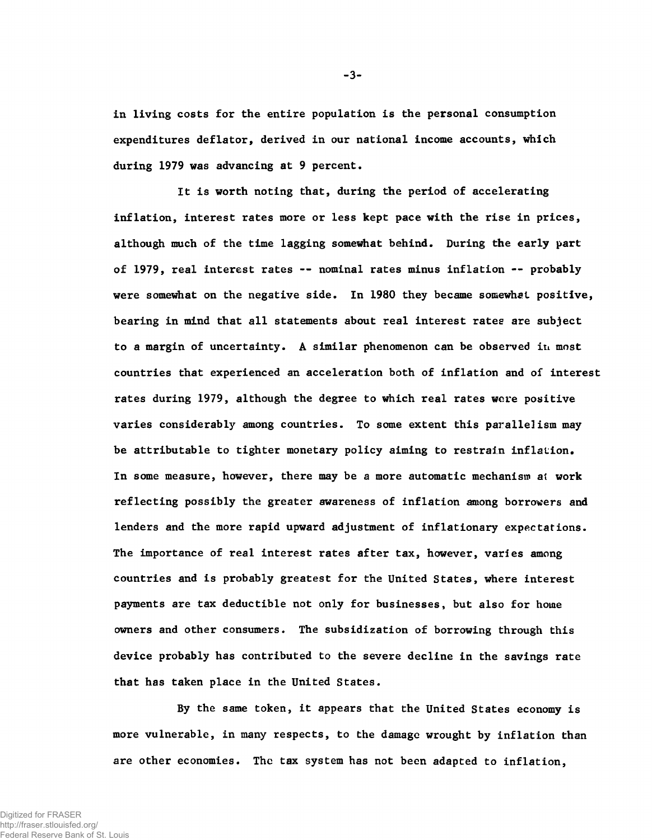in living costs for the entire population is the personal consumption expenditures deflator, derived in our national income accounts, which during 1979 was advancing at 9 percent.

It is worth noting that, during the period of accelerating inflation, interest rates more or less kept pace with the rise in prices, although much of the time lagging somewhat behind. During the early part of 1979, real interest rates -- nominal rates minus inflation -- probably were somewhat on the negative side. In 1980 they became somewhat positive, bearing in mind that all statements about real interest rates are subject to a margin of uncertainty. A similar phenomenon can be observed in most countries that experienced an acceleration both of inflation and of interest rates during 1979, although the degree to which real rates were positive varies considerably among countries. To some extent this parallelism may be attributable to tighter monetary policy aiming to restrain inflation. In some measure, however, there may be a more automatic mechanism at work reflecting possibly the greater awareness of inflation among borrowers and lenders and the more rapid upward adjustment of inflationary expectations. The importance of real interest rates after tax, however, varies among countries and is probably greatest for the United States, where interest payments are tax deductible not only for businesses, but also for home owners and other consumers. The subsidization of borrowing through this device probably has contributed to the severe decline in the savings rate that has taken place in the United States.

By the same token, it appears that the United States economy is more vulnerable, in many respects, to the damage wrought by inflation than are other economies. The tax system has not been adapted to inflation,

**-3-**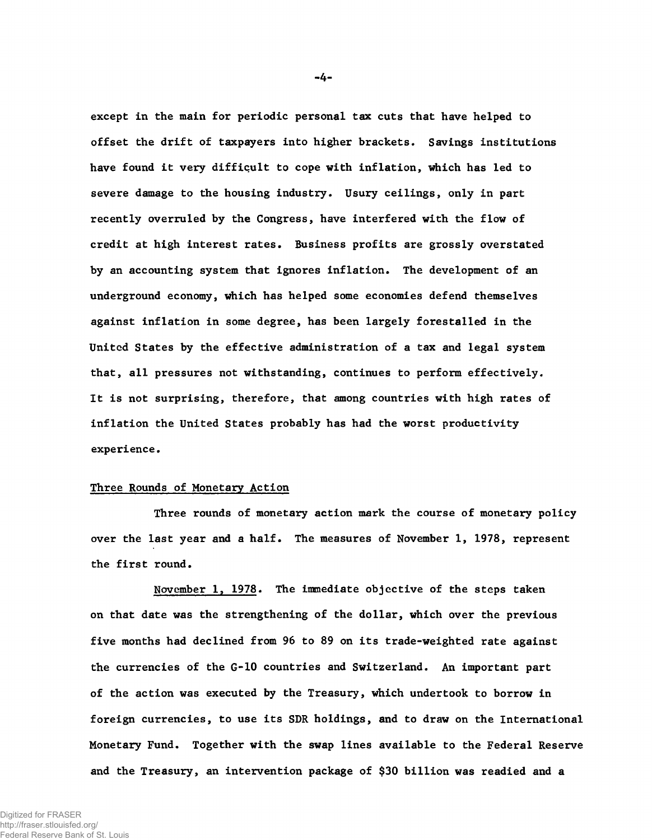except in the main for periodic personal tax cuts that have helped to offset the drift of taxpayers into higher brackets. Savings institutions have found it very difficult to cope with inflation, which has led to severe damage to the housing industry. Usury ceilings, only in part recently overruled by the Congress, have interfered with the flow of credit at high interest rates. Business profits are grossly overstated by an accounting system that ignores inflation. The development of an underground economy, which has helped some economies defend themselves against inflation in some degree, has been largely forestalled in the United States by the effective administration of a tax and legal system that, all pressures not withstanding, continues to perform effectively. It is not surprising, therefore, that among countries with high rates of inflation the United States probably has had the worst productivity experience.

#### Three Rounds of Monetary Action

Three rounds of monetary action mark the course of monetary policy over the last year and a half. The measures of November 1, 1978, represent the first round.

November 1, 1978. The immediate objective of the steps taken on that date was the strengthening of the dollar, which over the previous five months had declined from 96 to 89 on its trade-weighted rate against the currencies of the G-10 countries and Switzerland. An important part of the action was executed by the Treasury, which undertook to borrow in foreign currencies, to use its SDR holdings, and to draw on the International Monetary Fund. Together with the swap lines available to the Federal Reserve and the Treasury, an intervention package of \$30 billion was readied and a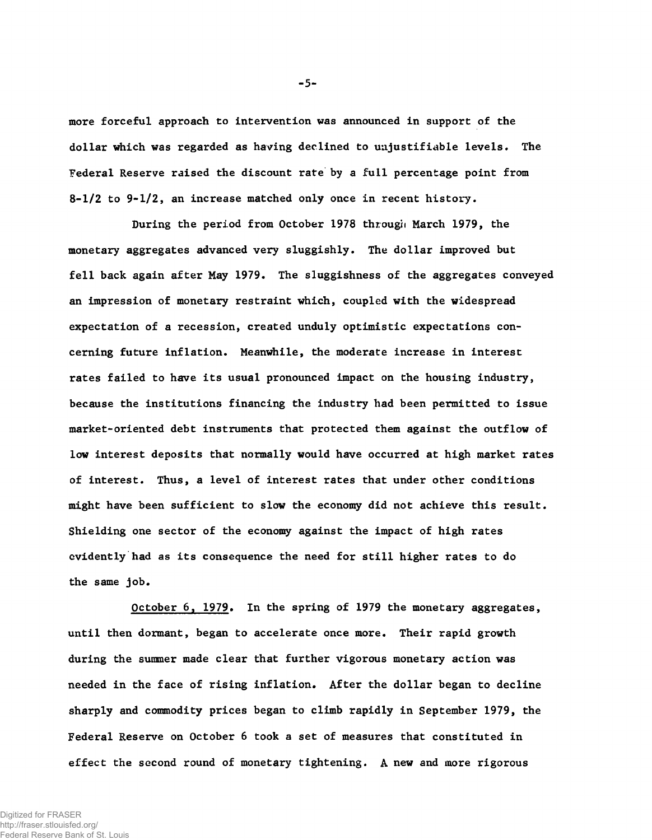more forceful approach to intervention was announced in support of the dollar which was regarded as having declined to unjustifiable levels. The Federal Reserve raised the discount rate by a full percentage point from  $8-1/2$  to  $9-1/2$ , an increase matched only once in recent history.

During the period from October 1978 through March 1979, the monetary aggregates advanced very sluggishly. The dollar improved but fell back again after May 1979. The sluggishness of the aggregates conveyed an impression of monetary restraint which, coupled with the widespread expectation of a recession, created unduly optimistic expectations concerning future inflation. Meanwhile, the moderate increase in interest rates failed to have its usual pronounced impact on the housing industry, because the institutions financing the industry had been permitted to issue market-oriented debt instruments that protected them against the outflow of low interest deposits that normally would have occurred at high market rates of interest. Thus, a level of interest rates that under other conditions might have been sufficient to slow the economy did not achieve this result. Shielding one sector of the economy against the impact of high rates evidently had as its consequence the need for still higher rates to do the same job.

October 6, 1979. In the spring of 1979 the monetary aggregates, until then dormant, began to accelerate once more. Their rapid growth during the summer made clear that further vigorous monetary action was needed in the face of rising inflation. After the dollar began to decline sharply and commodity prices began to climb rapidly in September 1979, the Federal Reserve on October 6 took a set of measures that constituted in effect the second round of monetary tightening. A new and more rigorous

-5-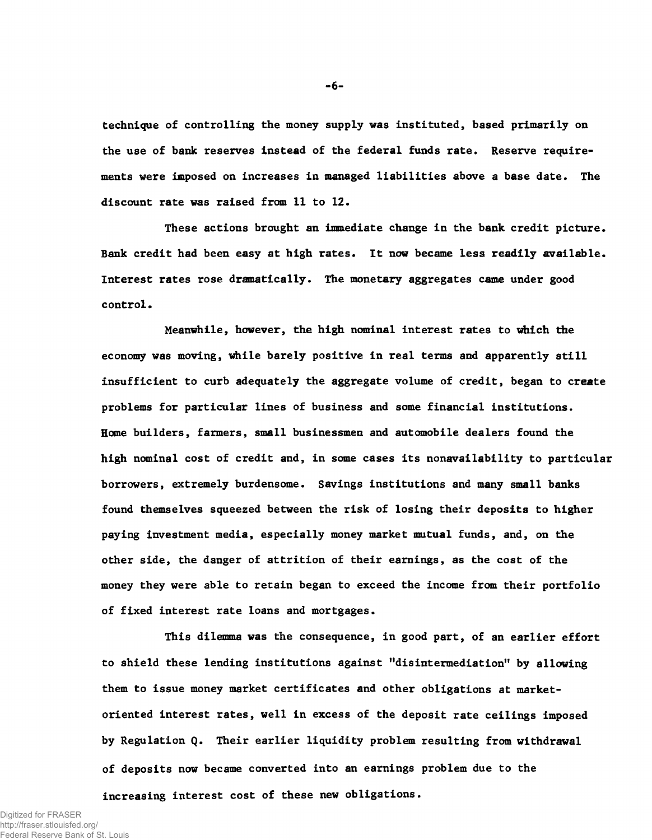technique of controlling the money supply was instituted, based primarily on the use of bank reserves instead of the federal funds rate. Reserve requirements were imposed on increases in managed liabilities above a base date. The discount rate was raised from 11 to 12.

These actions brought an immediate change in the bank credit picture. Bank credit had been easy at high rates. It now became less readily available. Interest rates rose dramatically. The monetary aggregates came under good control.

Meanwhile, however, the high nominal interest rates to which the economy was moving, while barely positive in real terms and apparently still insufficient to curb adequately the aggregate volume of credit, began to create problems for particular lines of business and some financial institutions. Home builders, farmers, small businessmen and automobile dealers found the high nominal cost of credit and, in some cases its nonavailability to particular borrowers, extremely burdensome. Savings institutions and many small banks found themselves squeezed between the risk of losing their deposits to higher paying investment media, especially money market mutual funds, and, on the other side, the danger of attrition of their earnings, as the cost of the money they were able to retain began to exceed the income from their portfolio of fixed interest rate loans and mortgages.

This dilemma was the consequence, in good part, of an earlier effort to shield these lending institutions against "disintermediation" by allowing them to issue money market certificates and other obligations at marketoriented interest rates, well in excess of the deposit rate ceilings imposed by Regulation Q. Their earlier liquidity problem resulting from withdrawal of deposits now became converted into an earnings problem due to the increasing interest cost of these new obligations.

**- 6-**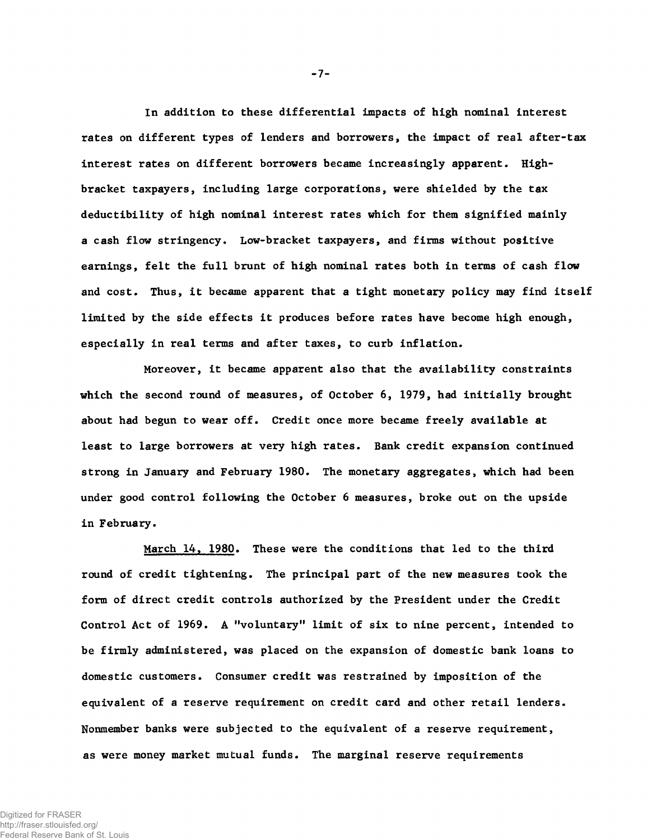In addition to these differential impacts of high nominal interest rates on different types of lenders and borrowers, the impact of real after-tax interest rates on different borrowers became increasingly apparent. Highbracket taxpayers, including large corporations, were shielded by the tax deductibility of high nominal interest rates which for them signified mainly a cash flow stringency. Low-bracket taxpayers, and firms without positive earnings, felt the full brunt of high nominal rates both in terms of cash flow and cost. Thus, it became apparent that a tight monetary policy may find itself limited by the side effects it produces before rates have become high enough, especially in real terms and after taxes, to curb inflation.

Moreover, it became apparent also that the availability constraints which the second round of measures, of October 6, 1979, had initially brought about had begun to wear off. Credit once more became freely available at least to large borrowers at very high rates. Bank credit expansion continued strong in January and February 1980. The monetary aggregates, which had been under good control following the October 6 measures, broke out on the upside in February.

March 14, 1980. These were the conditions that led to the third round of credit tightening. The principal part of the new measures took the form of direct credit controls authorized by the President under the Credit Control Act of 1969. A "voluntary" limit of six to nine percent, intended to be firmly administered, was placed on the expansion of domestic bank loans to domestic customers. Consumer credit was restrained by imposition of the equivalent of a reserve requirement on credit card and other retail lenders. Nonmember banks were subjected to the equivalent of a reserve requirement, as were money market mutual funds. The marginal reserve requirements

-7-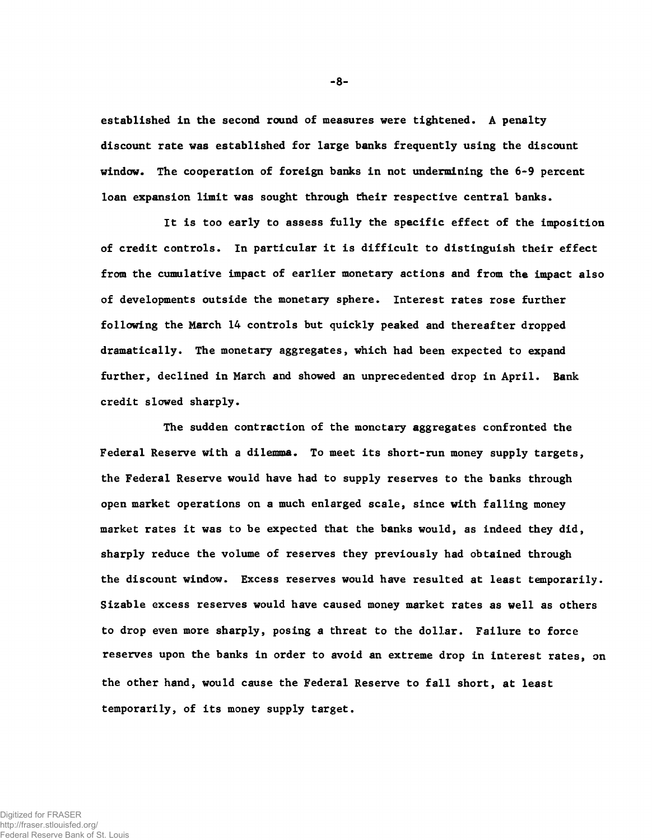established in the second round of measures were tightened. A penalty discount rate was established for large banks frequently using the discount window. The cooperation of foreign banks in not undermining the 6-9 percent loan expansion limit was sought through their respective central banks.

It is too early to assess fully the specific effect of the imposition of credit controls. In particular it is difficult to distinguish their effect from the cumulative impact of earlier monetary actions and from the impact also of developments outside the monetary sphere. Interest rates rose further following the March 14 controls but quickly peaked and thereafter dropped dramatically. The monetary aggregates, which had been expected to expand further, declined in March and showed an unprecedented drop in April. Bank credit slowed sharply.

The sudden contraction of the monctary aggregates confronted the Federal Reserve with a dilemma. To meet its short-run money supply targets, the Federal Reserve would have had to supply reserves to the banks through open market operations on a much enlarged scale, since with falling money market rates it was to be expected that the banks would, as indeed they did, sharply reduce the volume of reserves they previously had obtained through the discount window. Excess reserves would have resulted at least temporarily. Sizable excess reserves would have caused money market rates as well as others to drop even more sharply, posing a threat to the dollar. Failure to force reserves upon the banks in order to avoid an extreme drop in interest rates, on the other hand, would cause the Federal Reserve to fall short, at least temporarily, of its money supply target.

**- 8-**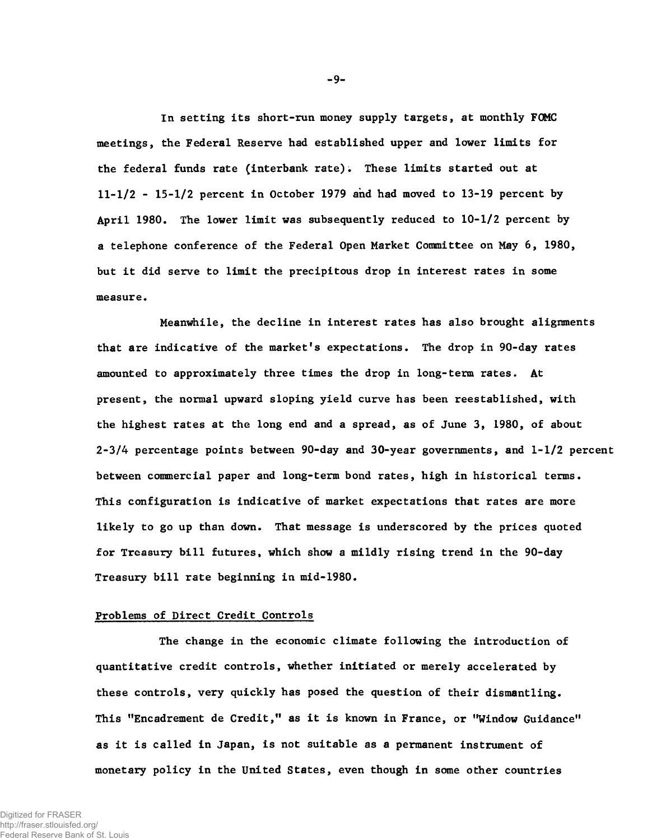In setting its short-run money supply targets, at monthly FOMC meetings, the Federal Reserve had established upper and lower limits for the federal funds rate (interbank rate); These limits started out at 11-1/2 - 15-1/2 percent in October 1979 and had moved to 13-19 percent by April 1980. The lower limit was subsequently reduced to 10-1/2 percent by a telephone conference of the Federal Open Market Committee on May 6, 1980, but it did serve to limit the precipitous drop in interest rates in some measure.

Meanwhile, the decline in interest rates has also brought alignments that are indicative of the market's expectations. The drop in 90-day rates amounted to approximately three times the drop in long-term rates. At present, the normal upward sloping yield curve has been reestablished, with the highest rates at the long end and a spread, as of June 3, 1980, of about 2-3/4 percentage points between 90-day and 30-year governments, and 1-1/2 percent between commercial paper and long-term bond rates, high in historical terms. This configuration is indicative of market expectations that rates are more likely to go up than down. That message is underscored by the prices quoted for Treasury bill futures, which show a mildly rising trend in the 90-day Treasury bill rate beginning in mid-1980.

## Problems of Direct Credit Controls

The change in the economic climate following the introduction of quantitative credit controls, whether initiated or merely accelerated by these controls, very quickly has posed the question of their dismantling. This "Encadrement de Credit," as it is known in France, or "Window Guidance" as it is called in Japan, is not suitable as a permanent instrument of monetary policy in the United States, even though in some other countries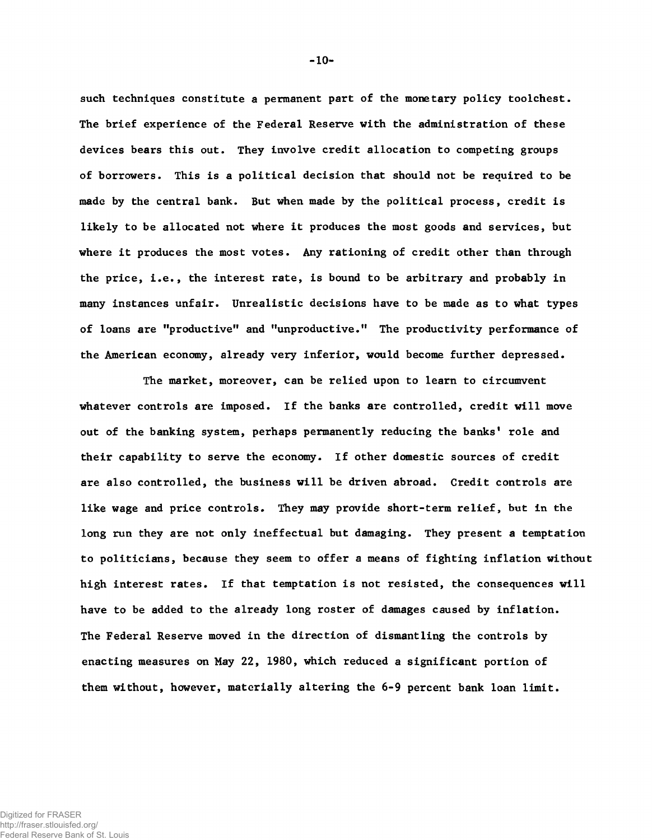such techniques constitute a permanent part of the monetary policy toolchest. The brief experience of the Federal Reserve with the administration of these devices bears this out. They involve credit allocation to competing groups of borrowers. This is a political decision that should not be required to be made by the central bank. But when made by the political process, credit is likely to be allocated not where it produces the most goods and services, but where it produces the most votes. Any rationing of credit other than through the price, i.e., the interest rate, is bound to be arbitrary and probably in many instances unfair. Unrealistic decisions have to be made as to what types of loans are "productive" and "unproductive." The productivity performance of the American economy, already very inferior, would become further depressed.

The market, moreover, can be relied upon to learn to circumvent whatever controls are imposed. If the banks are controlled, credit will move out of the banking system, perhaps permanently reducing the banks' role and their capability to serve the economy. If other domestic sources of credit are also controlled, the business will be driven abroad. Credit controls are like wage and price controls. They may provide short-term relief, but in the long run they are not only ineffectual but damaging. They present a temptation to politicians, because they seem to offer a means of fighting inflation without high interest rates. If that temptation is not resisted, the consequences will have to be added to the already long roster of damages caused by inflation. The Federal Reserve moved in the direction of dismantling the controls by enacting measures on May 22, 1980, which reduced a significant portion of them without, however, materially altering the 6-9 percent bank loan limit.

**- 10-**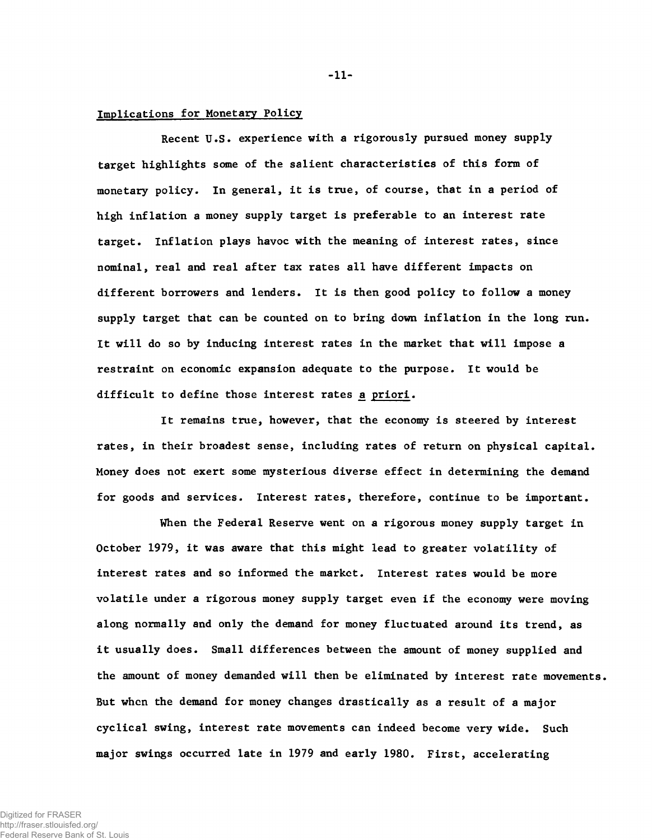## Implications for Monetary Policy

Recent U.S. experience with a rigorously pursued money supply target highlights some of the salient characteristics of this form of monetary policy. In general, it is true, of course, that in a period of high inflation a money supply target is preferable to an interest rate target. Inflation plays havoc with the meaning of interest rates, since nominal, real and real after tax rates all have different impacts on different borrowers and lenders. It is then good policy to follow a money supply target that can be counted on to bring down inflation in the long run. It will do so by inducing interest rates in the market that will impose a restraint on economic expansion adequate to the purpose. It would be difficult to define those interest rates a priori.

It remains true, however, that the economy is steered by interest rates, in their broadest sense, including rates of return on physical capital. Money does not exert some mysterious diverse effect in determining the demand for goods and services. Interest rates, therefore, continue to be important.

When the Federal Reserve went on a rigorous money supply target in October 1979, it was aware that this might lead to greater volatility of interest rates and so informed the market. Interest rates would be more volatile under a rigorous money supply target even if the economy were moving along normally and only the demand for money fluctuated around its trend, as it usually does. Small differences between the amount of money supplied and the amount of money demanded will then be eliminated by interest rate movements. But when the demand for money changes drastically as a result of a major cyclical swing, interest rate movements can indeed become very wide. Such major swings occurred late in 1979 and early 1980. First, accelerating

Digitized for FRASER http://fraser.stlouisfed.org/ Federal Reserve Bank of St. Louis **- 11-**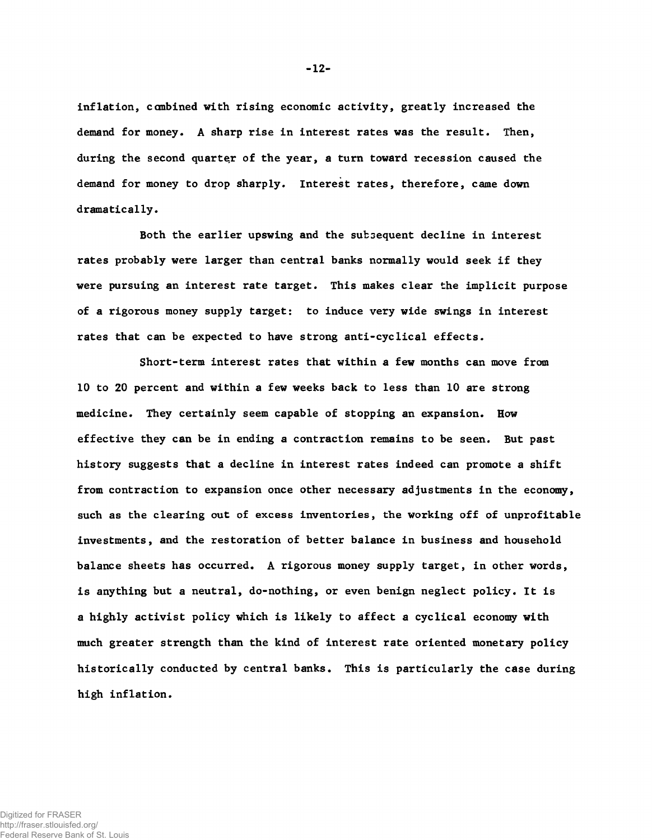inflation, canbined with rising economic activity, greatly increased the demand for money. A sharp rise in interest rates was the result. Then, during the second quarter of the year, a turn toward recession caused the demand for money to drop sharply. Interest rates, therefore, came down dramatically.

Both the earlier upswing and the subsequent decline in interest rates probably were larger than central banks normally would seek if they were pursuing an interest rate target. This makes clear the implicit purpose of a rigorous money supply target: to induce very wide swings in interest rates that can be expected to have strong anti-cyclical effects.

Short-term interest rates that within a few months can move from 10 to 20 percent and within a few weeks back to less than 10 are strong medicine. They certainly seem capable of stopping an expansion. How effective they can be in ending a contraction remains to be seen. But past history suggests that a decline in interest rates indeed can promote a shift from contraction to expansion once other necessary adjustments in the economy, such as the clearing out of excess inventories, the working off of unprofitable investments, and the restoration of better balance in business and household balance sheets has occurred. A rigorous money supply target, in other words, is anything but a neutral, do-nothing, or even benign neglect policy. It is a highly activist policy which is likely to affect a cyclical economy with much greater strength than the kind of interest rate oriented monetary policy historically conducted by central banks. This is particularly the case during high inflation.

-12-